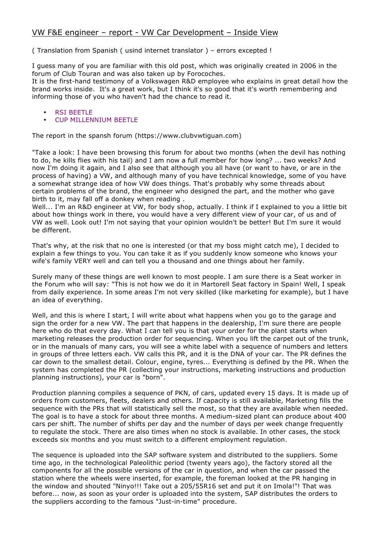## <span id="page-0-0"></span>VW F&E engineer – report - VW Car Development – Inside View

( Translation from Spanish ( usind internet translator ) – errors excepted !

I guess many of you are familiar with this old post, which was originally created in 2006 in the forum of Club Touran and was also taken up by Forocoches.

It is the first-hand testimony of a Volkswagen R&D employee who explains in great detail how the brand works inside. It's a great work, but I think it's so good that it's worth remembering and informing those of you who haven't had the chance to read it.

- [RSI BEETLE](#page-8-0)
- [CUP MILLENNIUM BEETLE](#page-9-0)

The report in the spansh forum (https://www.clubvwtiguan.com)

"Take a look: I have been browsing this forum for about two months (when the devil has nothing to do, he kills flies with his tail) and I am now a full member for how long? ... two weeks? And now I'm doing it again, and I also see that although you all have (or want to have, or are in the process of having) a VW, and although many of you have technical knowledge, some of you have a somewhat strange idea of how VW does things. That's probably why some threads about certain problems of the brand, the engineer who designed the part, and the mother who gave birth to it, may fall off a donkey when reading .

Well... I'm an R&D engineer at VW, for body shop, actually. I think if I explained to you a little bit about how things work in there, you would have a very different view of your car, of us and of VW as well. Look out! I'm not saying that your opinion wouldn't be better! But I'm sure it would be different.

That's why, at the risk that no one is interested (or that my boss might catch me), I decided to explain a few things to you. You can take it as if you suddenly know someone who knows your wife's family VERY well and can tell you a thousand and one things about her family.

Surely many of these things are well known to most people. I am sure there is a Seat worker in the Forum who will say: "This is not how we do it in Martorell Seat factory in Spain! Well, I speak from daily experience. In some areas I'm not very skilled (like marketing for example), but I have an idea of everything.

Well, and this is where I start, I will write about what happens when you go to the garage and sign the order for a new VW. The part that happens in the dealership, I'm sure there are people here who do that every day. What I can tell you is that your order for the plant starts when marketing releases the production order for sequencing. When you lift the carpet out of the trunk, or in the manuals of many cars, you will see a white label with a sequence of numbers and letters in groups of three letters each. VW calls this PR, and it is the DNA of your car. The PR defines the car down to the smallest detail. Colour, engine, tyres... Everything is defined by the PR. When the system has completed the PR (collecting your instructions, marketing instructions and production planning instructions), your car is "born".

Production planning compiles a sequence of PKN, of cars, updated every 15 days. It is made up of orders from customers, fleets, dealers and others. If capacity is still available, Marketing fills the sequence with the PRs that will statistically sell the most, so that they are available when needed. The goal is to have a stock for about three months. A medium-sized plant can produce about 400 cars per shift. The number of shifts per day and the number of days per week change frequently to regulate the stock. There are also times when no stock is available. In other cases, the stock exceeds six months and you must switch to a different employment regulation.

The sequence is uploaded into the SAP software system and distributed to the suppliers. Some time ago, in the technological Paleolithic period (twenty years ago), the factory stored all the components for all the possible versions of the car in question, and when the car passed the station where the wheels were inserted, for example, the foreman looked at the PR hanging in the window and shouted "Ninyo!!! Take out a 205/55R16 set and put it on Imola!"! That was before... now, as soon as your order is uploaded into the system, SAP distributes the orders to the suppliers according to the famous "Just-in-time" procedure.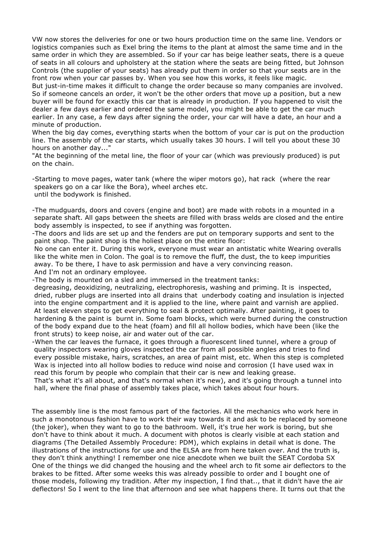VW now stores the deliveries for one or two hours production time on the same line. Vendors or logistics companies such as Exel bring the items to the plant at almost the same time and in the same order in which they are assembled. So if your car has beige leather seats, there is a queue of seats in all colours and upholstery at the station where the seats are being fitted, but Johnson Controls (the supplier of your seats) has already put them in order so that your seats are in the front row when your car passes by. When you see how this works, it feels like magic.

But just-in-time makes it difficult to change the order because so many companies are involved. So if someone cancels an order, it won't be the other orders that move up a position, but a new buyer will be found for exactly this car that is already in production. If you happened to visit the dealer a few days earlier and ordered the same model, you might be able to get the car much earlier. In any case, a few days after signing the order, your car will have a date, an hour and a minute of production.

When the big day comes, everything starts when the bottom of your car is put on the production line. The assembly of the car starts, which usually takes 30 hours. I will tell you about these 30 hours on another day..."

"At the beginning of the metal line, the floor of your car (which was previously produced) is put on the chain.

-Starting to move pages, water tank (where the wiper motors go), hat rack (where the rear speakers go on a car like the Bora), wheel arches etc. until the bodywork is finished.

-The mudguards, doors and covers (engine and boot) are made with robots in a mounted in a separate shaft. All gaps between the sheets are filled with brass welds are closed and the entire body assembly is inspected, to see if anything was forgotten.

-The doors and lids are set up and the fenders are put on temporary supports and sent to the paint shop. The paint shop is the holiest place on the entire floor:

No one can enter it. During this work, everyone must wear an antistatic white Wearing overalls like the white men in Colon. The goal is to remove the fluff, the dust, the to keep impurities away. To be there, I have to ask permission and have a very convincing reason. And I'm not an ordinary employee.

-The body is mounted on a sled and immersed in the treatment tanks:

degreasing, deoxidizing, neutralizing, electrophoresis, washing and priming. It is inspected, dried, rubber plugs are inserted into all drains that underbody coating and insulation is injected into the engine compartment and it is applied to the line, where paint and varnish are applied. At least eleven steps to get everything to seal & protect optimally. After painting, it goes to hardening & the paint is burnt in. Some foam blocks, which were burned during the construction of the body expand due to the heat (foam) and fill all hollow bodies, which have been (like the front struts) to keep noise, air and water out of the car.

-When the car leaves the furnace, it goes through a fluorescent lined tunnel, where a group of quality inspectors wearing gloves inspected the car from all possible angles and tries to find every possible mistake, hairs, scratches, an area of paint mist, etc. When this step is completed Wax is injected into all hollow bodies to reduce wind noise and corrosion (I have used wax in read this forum by people who complain that their car is new and leaking grease.

That's what it's all about, and that's normal when it's new), and it's going through a tunnel into hall, where the final phase of assembly takes place, which takes about four hours.

The assembly line is the most famous part of the factories. All the mechanics who work here in such a monotonous fashion have to work their way towards it and ask to be replaced by someone (the joker), when they want to go to the bathroom. Well, it's true her work is boring, but she don't have to think about it much. A document with photos is clearly visible at each station and diagrams (The Detailed Assembly Procedure: PDM), which explains in detail what is done. The illustrations of the instructions for use and the ELSA are from here taken over. And the truth is, they don't think anything! I remember one nice anecdote when we built the SEAT Cordoba SX One of the things we did changed the housing and the wheel arch to fit some air deflectors to the brakes to be fitted. After some weeks this was already possible to order and I bought one of those models, following my tradition. After my inspection, I find that.., that it didn't have the air deflectors! So I went to the line that afternoon and see what happens there. It turns out that the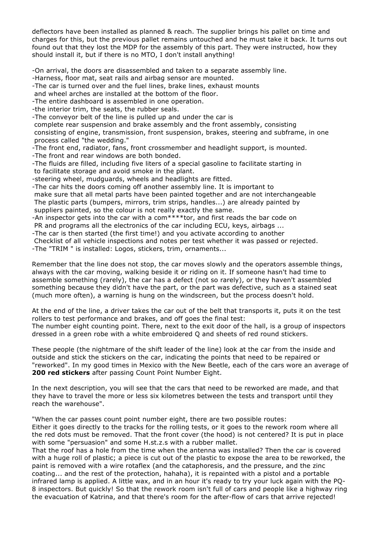deflectors have been installed as planned & reach. The supplier brings his pallet on time and charges for this, but the previous pallet remains untouched and he must take it back. It turns out found out that they lost the MDP for the assembly of this part. They were instructed, how they should install it, but if there is no MTO, I don't install anything!

-On arrival, the doors are disassembled and taken to a separate assembly line.

-Harness, floor mat, seat rails and airbag sensor are mounted.

-The car is turned over and the fuel lines, brake lines, exhaust mounts

and wheel arches are installed at the bottom of the floor.

-The entire dashboard is assembled in one operation.

-the interior trim, the seats, the rubber seals.

-The conveyor belt of the line is pulled up and under the car is

complete rear suspension and brake assembly and the front assembly, consisting consisting of engine, transmission, front suspension, brakes, steering and subframe, in one process called "the wedding."

-The front end, radiator, fans, front crossmember and headlight support, is mounted.

-The front and rear windows are both bonded.

-The fluids are filled, including five liters of a special gasoline to facilitate starting in to facilitate storage and avoid smoke in the plant.

-steering wheel, mudguards, wheels and headlights are fitted.

-The car hits the doors coming off another assembly line. It is important to

make sure that all metal parts have been painted together and are not interchangeable The plastic parts (bumpers, mirrors, trim strips, handles...) are already painted by suppliers painted, so the colour is not really exactly the same.

-An inspector gets into the car with a com\*\*\*\*tor, and first reads the bar code on

PR and programs all the electronics of the car including ECU, keys, airbags ...

-The car is then started (the first time!) and you activate according to another

Checklist of all vehicle inspections and notes per test whether it was passed or rejected.

-The "TRIM " is installed: Logos, stickers, trim, ornaments...

Remember that the line does not stop, the car moves slowly and the operators assemble things, always with the car moving, walking beside it or riding on it. If someone hasn't had time to assemble something (rarely), the car has a defect (not so rarely), or they haven't assembled something because they didn't have the part, or the part was defective, such as a stained seat (much more often), a warning is hung on the windscreen, but the process doesn't hold.

At the end of the line, a driver takes the car out of the belt that transports it, puts it on the test rollers to test performance and brakes, and off goes the final test: The number eight counting point. There, next to the exit door of the hall, is a group of inspectors dressed in a green robe with a white embroidered Q and sheets of red round stickers.

These people (the nightmare of the shift leader of the line) look at the car from the inside and outside and stick the stickers on the car, indicating the points that need to be repaired or "reworked". In my good times in Mexico with the New Beetle, each of the cars wore an average of **200 red stickers** after passing Count Point Number Eight.

In the next description, you will see that the cars that need to be reworked are made, and that they have to travel the more or less six kilometres between the tests and transport until they reach the warehouse".

"When the car passes count point number eight, there are two possible routes: Either it goes directly to the tracks for the rolling tests, or it goes to the rework room where all the red dots must be removed. That the front cover (the hood) is not centered? It is put in place with some "persuasion" and some H.st.z.s with a rubber mallet.

That the roof has a hole from the time when the antenna was installed? Then the car is covered with a huge roll of plastic; a piece is cut out of the plastic to expose the area to be reworked, the paint is removed with a wire rotaflex (and the cataphoresis, and the pressure, and the zinc coating... and the rest of the protection, hahaha), it is repainted with a pistol and a portable infrared lamp is applied. A little wax, and in an hour it's ready to try your luck again with the PQ-8 inspectors. But quickly! So that the rework room isn't full of cars and people like a highway ring the evacuation of Katrina, and that there's room for the after-flow of cars that arrive rejected!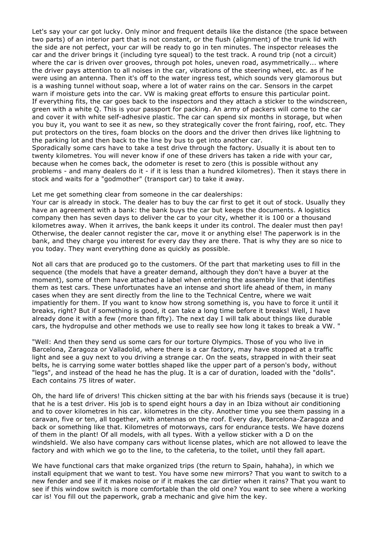Let's say your car got lucky. Only minor and frequent details like the distance (the space between two parts) of an interior part that is not constant, or the flush (alignment) of the trunk lid with the side are not perfect, your car will be ready to go in ten minutes. The inspector releases the car and the driver brings it (including tyre squeal) to the test track. A round trip (not a circuit) where the car is driven over grooves, through pot holes, uneven road, asymmetrically... where the driver pays attention to all noises in the car, vibrations of the steering wheel, etc. as if he were using an antenna. Then it's off to the water ingress test, which sounds very glamorous but is a washing tunnel without soap, where a lot of water rains on the car. Sensors in the carpet warn if moisture gets into the car. VW is making great efforts to ensure this particular point. If everything fits, the car goes back to the inspectors and they attach a sticker to the windscreen, green with a white Q. This is your passport for packing. An army of packers will come to the car and cover it with white self-adhesive plastic. The car can spend six months in storage, but when you buy it, you want to see it as new, so they strategically cover the front fairing, roof, etc. They put protectors on the tires, foam blocks on the doors and the driver then drives like lightning to the parking lot and then back to the line by bus to get into another car.

Sporadically some cars have to take a test drive through the factory. Usually it is about ten to twenty kilometres. You will never know if one of these drivers has taken a ride with your car, because when he comes back, the odometer is reset to zero (this is possible without any problems - and many dealers do it - if it is less than a hundred kilometres). Then it stays there in stock and waits for a "godmother" (transport car) to take it away.

Let me get something clear from someone in the car dealerships:

Your car is already in stock. The dealer has to buy the car first to get it out of stock. Usually they have an agreement with a bank: the bank buys the car but keeps the documents. A logistics company then has seven days to deliver the car to your city, whether it is 100 or a thousand kilometres away. When it arrives, the bank keeps it under its control. The dealer must then pay! Otherwise, the dealer cannot register the car, move it or anything else! The paperwork is in the bank, and they charge you interest for every day they are there. That is why they are so nice to you today. They want everything done as quickly as possible.

Not all cars that are produced go to the customers. Of the part that marketing uses to fill in the sequence (the models that have a greater demand, although they don't have a buyer at the moment), some of them have attached a label when entering the assembly line that identifies them as test cars. These unfortunates have an intense and short life ahead of them, in many cases when they are sent directly from the line to the Technical Centre, where we wait impatiently for them. If you want to know how strong something is, you have to force it until it breaks, right? But if something is good, it can take a long time before it breaks! Well, I have already done it with a few (more than fifty). The next day I will talk about things like durable cars, the hydropulse and other methods we use to really see how long it takes to break a VW. "

"Well: And then they send us some cars for our torture Olympics. Those of you who live in Barcelona, Zaragoza or Valladolid, where there is a car factory, may have stopped at a traffic light and see a guy next to you driving a strange car. On the seats, strapped in with their seat belts, he is carrying some water bottles shaped like the upper part of a person's body, without "legs", and instead of the head he has the plug. It is a car of duration, loaded with the "dolls". Each contains 75 litres of water.

Oh, the hard life of drivers! This chicken sitting at the bar with his friends says (because it is true) that he is a test driver. His job is to spend eight hours a day in an Ibiza without air conditioning and to cover kilometres in his car. kilometres in the city. Another time you see them passing in a caravan, five or ten, all together, with antennas on the roof. Every day, Barcelona-Zaragoza and back or something like that. Kilometres of motorways, cars for endurance tests. We have dozens of them in the plant! Of all models, with all types. With a yellow sticker with a D on the windshield. We also have company cars without license plates, which are not allowed to leave the factory and with which we go to the line, to the cafeteria, to the toilet, until they fall apart.

We have functional cars that make organized trips (the return to Spain, hahaha), in which we install equipment that we want to test. You have some new mirrors? That you want to switch to a new fender and see if it makes noise or if it makes the car dirtier when it rains? That you want to see if this window switch is more comfortable than the old one? You want to see where a working car is! You fill out the paperwork, grab a mechanic and give him the key.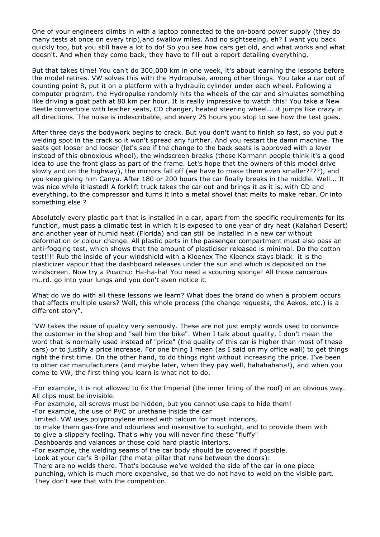One of your engineers climbs in with a laptop connected to the on-board power supply (they do many tests at once on every trip),and swallow miles. And no sightseeing, eh? I want you back quickly too, but you still have a lot to do! So you see how cars get old, and what works and what doesn't. And when they come back, they have to fill out a report detailing everything.

But that takes time! You can't do 300,000 km in one week, it's about learning the lessons before the model retires. VW solves this with the Hydropulse, among other things. You take a car out of counting point 8, put it on a platform with a hydraulic cylinder under each wheel. Following a computer program, the Hydropulse randomly hits the wheels of the car and simulates something like driving a goat path at 80 km per hour. It is really impressive to watch this! You take a New Beetle convertible with leather seats, CD changer, heated steering wheel... it jumps like crazy in all directions. The noise is indescribable, and every 25 hours you stop to see how the test goes.

After three days the bodywork begins to crack. But you don't want to finish so fast, so you put a welding spot in the crack so it won't spread any further. And you restart the damn machine. The seats get looser and looser (let's see if the change to the back seats is approved with a lever instead of this obnoxious wheel), the windscreen breaks (these Karmann people think it's a good idea to use the front glass as part of the frame. Let's hope that the owners of this model drive slowly and on the highway), the mirrors fall off (we have to make them even smaller????), and you keep giving him Canya. After 180 or 200 hours the car finally breaks in the middle. Well... It was nice while it lasted! A forklift truck takes the car out and brings it as it is, with CD and everything, to the compressor and turns it into a metal shovel that melts to make rebar. Or into something else ?

Absolutely every plastic part that is installed in a car, apart from the specific requirements for its function, must pass a climatic test in which it is exposed to one year of dry heat (Kalahari Desert) and another year of humid heat (Florida) and can still be installed in a new car without deformation or colour change. All plastic parts in the passenger compartment must also pass an anti-fogging test, which shows that the amount of plasticiser released is minimal. Do the cotton test!!!! Rub the inside of your windshield with a Kleenex The Kleenex stays black: it is the plasticizer vapour that the dashboard releases under the sun and which is deposited on the windscreen. Now try a Picachu: Ha-ha-ha! You need a scouring sponge! All those cancerous m..rd. go into your lungs and you don't even notice it.

What do we do with all these lessons we learn? What does the brand do when a problem occurs that affects multiple users? Well, this whole process (the change requests, the Aekos, etc.) is a different story".

"VW takes the issue of quality very seriously. These are not just empty words used to convince the customer in the shop and "sell him the bike". When I talk about quality, I don't mean the word that is normally used instead of "price" (the quality of this car is higher than most of these cars) or to justify a price increase. For one thing I mean (as I said on my office wall) to get things right the first time. On the other hand, to do things right without increasing the price. I've been to other car manufacturers (and maybe later, when they pay well, hahahahaha!), and when you come to VW, the first thing you learn is what not to do.

-For example, it is not allowed to fix the Imperial (the inner lining of the roof) in an obvious way. All clips must be invisible.

-For example, all screws must be hidden, but you cannot use caps to hide them!

-For example, the use of PVC or urethane inside the car

- limited. VW uses polypropylene mixed with talcum for most interiors,
- to make them gas-free and odourless and insensitive to sunlight, and to provide them with to give a slippery feeling. That's why you will never find these "fluffy"
- Dashboards and valances or those cold hard plastic interiors.
- -For example, the welding seams of the car body should be covered if possible.

Look at your car's B-pillar (the metal pillar that runs between the doors):

There are no welds there. That's because we've welded the side of the car in one piece punching, which is much more expensive, so that we do not have to weld on the visible part. They don't see that with the competition.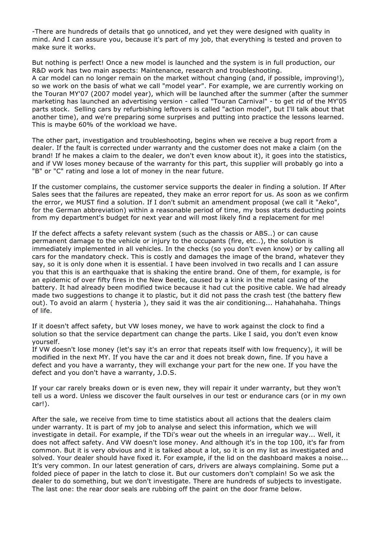-There are hundreds of details that go unnoticed, and yet they were designed with quality in mind. And I can assure you, because it's part of my job, that everything is tested and proven to make sure it works.

But nothing is perfect! Once a new model is launched and the system is in full production, our R&D work has two main aspects: Maintenance, research and troubleshooting.

A car model can no longer remain on the market without changing (and, if possible, improving!), so we work on the basis of what we call "model year". For example, we are currently working on the Touran MY'07 (2007 model year), which will be launched after the summer (after the summer marketing has launched an advertising version - called "Touran Carnival" - to get rid of the MY'05 parts stock. Selling cars by refurbishing leftovers is called "action model", but I'll talk about that another time), and we're preparing some surprises and putting into practice the lessons learned. This is maybe 60% of the workload we have.

The other part, investigation and troubleshooting, begins when we receive a bug report from a dealer. If the fault is corrected under warranty and the customer does not make a claim (on the brand! If he makes a claim to the dealer, we don't even know about it), it goes into the statistics, and if VW loses money because of the warranty for this part, this supplier will probably go into a "B" or "C" rating and lose a lot of money in the near future.

If the customer complains, the customer service supports the dealer in finding a solution. If After Sales sees that the failures are repeated, they make an error report for us. As soon as we confirm the error, we MUST find a solution. If I don't submit an amendment proposal (we call it "Aeko", for the German abbreviation) within a reasonable period of time, my boss starts deducting points from my department's budget for next year and will most likely find a replacement for me!

If the defect affects a safety relevant system (such as the chassis or ABS..) or can cause permanent damage to the vehicle or injury to the occupants (fire, etc..), the solution is immediately implemented in all vehicles. In the checks (so you don't even know) or by calling all cars for the mandatory check. This is costly and damages the image of the brand, whatever they say, so it is only done when it is essential. I have been involved in two recalls and I can assure you that this is an earthquake that is shaking the entire brand. One of them, for example, is for an epidemic of over fifty fires in the New Beetle, caused by a kink in the metal casing of the battery. It had already been modified twice because it had cut the positive cable. We had already made two suggestions to change it to plastic, but it did not pass the crash test (the battery flew out). To avoid an alarm ( hysteria ), they said it was the air conditioning... Hahahahaha. Things of life.

If it doesn't affect safety, but VW loses money, we have to work against the clock to find a solution so that the service department can change the parts. Like I said, you don't even know yourself.

If VW doesn't lose money (let's say it's an error that repeats itself with low frequency), it will be modified in the next MY. If you have the car and it does not break down, fine. If you have a defect and you have a warranty, they will exchange your part for the new one. If you have the defect and you don't have a warranty, J.D.S.

If your car rarely breaks down or is even new, they will repair it under warranty, but they won't tell us a word. Unless we discover the fault ourselves in our test or endurance cars (or in my own car!).

After the sale, we receive from time to time statistics about all actions that the dealers claim under warranty. It is part of my job to analyse and select this information, which we will investigate in detail. For example, if the TDi's wear out the wheels in an irregular way... Well, it does not affect safety. And VW doesn't lose money. And although it's in the top 100, it's far from common. But it is very obvious and it is talked about a lot, so it is on my list as investigated and solved. Your dealer should have fixed it. For example, if the lid on the dashboard makes a noise... It's very common. In our latest generation of cars, drivers are always complaining. Some put a folded piece of paper in the latch to close it. But our customers don't complain! So we ask the dealer to do something, but we don't investigate. There are hundreds of subjects to investigate. The last one: the rear door seals are rubbing off the paint on the door frame below.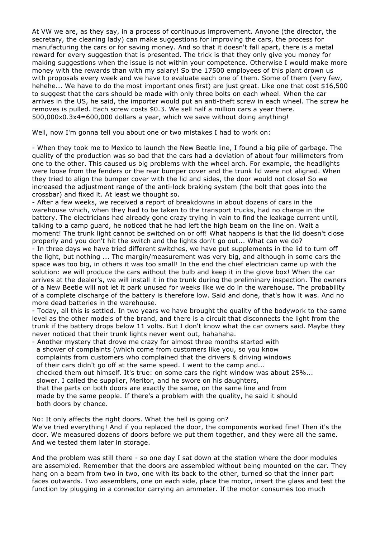At VW we are, as they say, in a process of continuous improvement. Anyone (the director, the secretary, the cleaning lady) can make suggestions for improving the cars, the process for manufacturing the cars or for saving money. And so that it doesn't fall apart, there is a metal reward for every suggestion that is presented. The trick is that they only give you money for making suggestions when the issue is not within your competence. Otherwise I would make more money with the rewards than with my salary! So the 17500 employees of this plant drown us with proposals every week and we have to evaluate each one of them. Some of them (very few, hehehe... We have to do the most important ones first) are just great. Like one that cost \$16,500 to suggest that the cars should be made with only three bolts on each wheel. When the car arrives in the US, he said, the importer would put an anti-theft screw in each wheel. The screw he removes is pulled. Each screw costs \$0.3. We sell half a million cars a year there. 500,000x0.3x4=600,000 dollars a year, which we save without doing anything!

Well, now I'm gonna tell you about one or two mistakes I had to work on:

- When they took me to Mexico to launch the New Beetle line, I found a big pile of garbage. The quality of the production was so bad that the cars had a deviation of about four millimeters from one to the other. This caused us big problems with the wheel arch. For example, the headlights were loose from the fenders or the rear bumper cover and the trunk lid were not aligned. When they tried to align the bumper cover with the lid and sides, the door would not close! So we increased the adjustment range of the anti-lock braking system (the bolt that goes into the crossbar) and fixed it. At least we thought so.

- After a few weeks, we received a report of breakdowns in about dozens of cars in the warehouse which, when they had to be taken to the transport trucks, had no charge in the battery. The electricians had already gone crazy trying in vain to find the leakage current until, talking to a camp guard, he noticed that he had left the high beam on the line on. Wait a moment! The trunk light cannot be switched on or off! What happens is that the lid doesn't close properly and you don't hit the switch and the lights don't go out... What can we do?

- In three days we have tried different switches, we have put supplements in the lid to turn off the light, but nothing ... The margin/measurement was very big, and although in some cars the space was too big, in others it was too small! In the end the chief electrician came up with the solution: we will produce the cars without the bulb and keep it in the glove box! When the car arrives at the dealer's, we will install it in the trunk during the preliminary inspection. The owners of a New Beetle will not let it park unused for weeks like we do in the warehouse. The probability of a complete discharge of the battery is therefore low. Said and done, that's how it was. And no more dead batteries in the warehouse.

- Today, all this is settled. In two years we have brought the quality of the bodywork to the same level as the other models of the brand, and there is a circuit that disconnects the light from the trunk if the battery drops below 11 volts. But I don't know what the car owners said. Maybe they never noticed that their trunk lights never went out, hahahaha.

- Another mystery that drove me crazy for almost three months started with a shower of complaints (which come from customers like you, so you know complaints from customers who complained that the drivers & driving windows of their cars didn't go off at the same speed. I went to the camp and... checked them out himself. It's true: on some cars the right window was about 25%... slower. I called the supplier, Meritor, and he swore on his daughters, that the parts on both doors are exactly the same, on the same line and from made by the same people. If there's a problem with the quality, he said it should both doors by chance.

No: It only affects the right doors. What the hell is going on?

We've tried everything! And if you replaced the door, the components worked fine! Then it's the door. We measured dozens of doors before we put them together, and they were all the same. And we tested them later in storage.

And the problem was still there - so one day I sat down at the station where the door modules are assembled. Remember that the doors are assembled without being mounted on the car. They hang on a beam from two in two, one with its back to the other, turned so that the inner part faces outwards. Two assemblers, one on each side, place the motor, insert the glass and test the function by plugging in a connector carrying an ammeter. If the motor consumes too much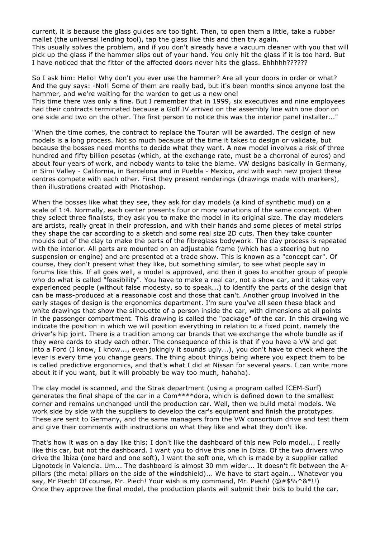current, it is because the glass guides are too tight. Then, to open them a little, take a rubber mallet (the universal lending tool), tap the glass like this and then try again. This usually solves the problem, and if you don't already have a vacuum cleaner with you that will pick up the glass if the hammer slips out of your hand. You only hit the glass if it is too hard. But I have noticed that the fitter of the affected doors never hits the glass. Ehhhhh??????

So I ask him: Hello! Why don't you ever use the hammer? Are all your doors in order or what? And the guy says: -No!! Some of them are really bad, but it's been months since anyone lost the hammer, and we're waiting for the warden to get us a new one!

This time there was only a fine. But I remember that in 1999, six executives and nine employees had their contracts terminated because a Golf IV arrived on the assembly line with one door on one side and two on the other. The first person to notice this was the interior panel installer..."

"When the time comes, the contract to replace the Touran will be awarded. The design of new models is a long process. Not so much because of the time it takes to design or validate, but because the bosses need months to decide what they want. A new model involves a risk of three hundred and fifty billion pesetas (which, at the exchange rate, must be a chorronal of euros) and about four years of work, and nobody wants to take the blame. VW designs basically in Germany, in Simi Valley - California, in Barcelona and in Puebla - Mexico, and with each new project these centres compete with each other. First they present renderings (drawings made with markers), then illustrations created with Photoshop.

When the bosses like what they see, they ask for clay models (a kind of synthetic mud) on a scale of 1:4. Normally, each center presents four or more variations of the same concept. When they select three finalists, they ask you to make the model in its original size. The clay modelers are artists, really great in their profession, and with their hands and some pieces of metal strips they shape the car according to a sketch and some real size 2D cuts. Then they take counter moulds out of the clay to make the parts of the fibreglass bodywork. The clay process is repeated with the interior. All parts are mounted on an adjustable frame (which has a steering but no suspension or engine) and are presented at a trade show. This is known as a "concept car". Of course, they don't present what they like, but something similar, to see what people say in forums like this. If all goes well, a model is approved, and then it goes to another group of people who do what is called "feasibility". You have to make a real car, not a show car, and it takes very experienced people (without false modesty, so to speak...) to identify the parts of the design that can be mass-produced at a reasonable cost and those that can't. Another group involved in the early stages of design is the ergonomics department. I'm sure you've all seen these black and white drawings that show the silhouette of a person inside the car, with dimensions at all points in the passenger compartment. This drawing is called the "package" of the car. In this drawing we indicate the position in which we will position everything in relation to a fixed point, namely the driver's hip joint. There is a tradition among car brands that we exchange the whole bundle as if they were cards to study each other. The consequence of this is that if you have a VW and get into a Ford (I know, I know..., even jokingly it sounds ugly...), you don't have to check where the lever is every time you change gears. The thing about things being where you expect them to be is called predictive ergonomics, and that's what I did at Nissan for several years. I can write more about it if you want, but it will probably be way too much, hahaha).

The clay model is scanned, and the Strak department (using a program called ICEM-Surf) generates the final shape of the car in a Com\*\*\*\*dora, which is defined down to the smallest corner and remains unchanged until the production car. Well, then we build metal models. We work side by side with the suppliers to develop the car's equipment and finish the prototypes. These are sent to Germany, and the same managers from the VW consortium drive and test them and give their comments with instructions on what they like and what they don't like.

That's how it was on a day like this: I don't like the dashboard of this new Polo model... I really like this car, but not the dashboard. I want you to drive this one in Ibiza. Of the two drivers who drive the Ibiza (one hard and one soft), I want the soft one, which is made by a supplier called Lignotock in Valencia. Um... The dashboard is almost 30 mm wider... It doesn't fit between the Apillars (the metal pillars on the side of the windshield)... We have to start again... Whatever you say, Mr Piech! Of course, Mr. Piech! Your wish is my command, Mr. Piech! (@#\$%^&\*!!) Once they approve the final model, the production plants will submit their bids to build the car.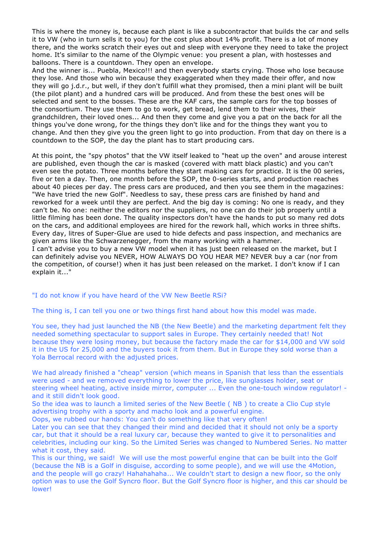<span id="page-8-0"></span>This is where the money is, because each plant is like a subcontractor that builds the car and sells it to VW (who in turn sells it to you) for the cost plus about 14% profit. There is a lot of money there, and the works scratch their eyes out and sleep with everyone they need to take the project home. It's similar to the name of the Olympic venue: you present a plan, with hostesses and balloons. There is a countdown. They open an envelope.

And the winner is... Puebla, Mexico!!! and then everybody starts crying. Those who lose because they lose. And those who win because they exaggerated when they made their offer, and now they will go j.d.r., but well, if they don't fulfill what they promised, then a mini plant will be built (the pilot plant) and a hundred cars will be produced. And from these the best ones will be selected and sent to the bosses. These are the KAF cars, the sample cars for the top bosses of the consortium. They use them to go to work, get bread, lend them to their wives, their grandchildren, their loved ones... And then they come and give you a pat on the back for all the things you've done wrong, for the things they don't like and for the things they want you to change. And then they give you the green light to go into production. From that day on there is a countdown to the SOP, the day the plant has to start producing cars.

At this point, the "spy photos" that the VW itself leaked to "heat up the oven" and arouse interest are published, even though the car is masked (covered with matt black plastic) and you can't even see the potato. Three months before they start making cars for practice. It is the 00 series, five or ten a day. Then, one month before the SOP, the 0-series starts, and production reaches about 40 pieces per day. The press cars are produced, and then you see them in the magazines: "We have tried the new Golf". Needless to say, these press cars are finished by hand and reworked for a week until they are perfect. And the big day is coming: No one is ready, and they can't be. No one: neither the editors nor the suppliers, no one can do their job properly until a little filming has been done. The quality inspectors don't have the hands to put so many red dots on the cars, and additional employees are hired for the rework hall, which works in three shifts. Every day, litres of Super-Glue are used to hide defects and pass inspection, and mechanics are given arms like the Schwarzenegger, from the many working with a hammer.

I can't advise you to buy a new VW model when it has just been released on the market, but I can definitely advise you NEVER, HOW ALWAYS DO YOU HEAR ME? NEVER buy a car (nor from the competition, of course!) when it has just been released on the market. I don't know if I can explain it..."

"I do not know if you have heard of the VW New Beetle RSi?

The thing is, I can tell you one or two things first hand about how this model was made.

You see, they had just launched the NB (the New Beetle) and the marketing department felt they needed something spectacular to support sales in Europe. They certainly needed that! Not because they were losing money, but because the factory made the car for \$14,000 and VW sold it in the US for 25,000 and the buyers took it from them. But in Europe they sold worse than a Yola Berrocal record with the adjusted prices.

We had already finished a "cheap" version (which means in Spanish that less than the essentials were used - and we removed everything to lower the price, like sunglasses holder, seat or steering wheel heating, active inside mirror, computer ... Even the one-touch window regulator! and it still didn't look good.

So the idea was to launch a limited series of the New Beetle ( NB ) to create a Clio Cup style advertising trophy with a sporty and macho look and a powerful engine.

Oops, we rubbed our hands: You can't do something like that very often!

Later you can see that they changed their mind and decided that it should not only be a sporty car, but that it should be a real luxury car, because they wanted to give it to personalities and celebrities, including our king. So the Limited Series was changed to Numbered Series. No matter what it cost, they said.

This is our thing, we said! We will use the most powerful engine that can be built into the Golf (because the NB is a Golf in disguise, according to some people), and we will use the 4Motion, and the people will go crazy! Hahahahaha... We couldn't start to design a new floor, so the only option was to use the Golf Syncro floor. But the Golf Syncro floor is higher, and this car should be lower!